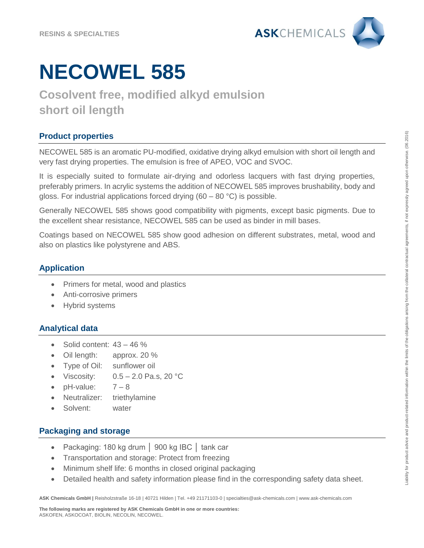

# **NECOWEL 585**

### **Cosolvent free, modified alkyd emulsion short oil length**

### **Product properties**

NECOWEL 585 is an aromatic PU-modified, oxidative drying alkyd emulsion with short oil length and very fast drying properties. The emulsion is free of APEO, VOC and SVOC.

It is especially suited to formulate air-drying and odorless lacquers with fast drying properties, preferably primers. In acrylic systems the addition of NECOWEL 585 improves brushability, body and gloss. For industrial applications forced drying (60 – 80 °C) is possible.

Generally NECOWEL 585 shows good compatibility with pigments, except basic pigments. Due to the excellent shear resistance, NECOWEL 585 can be used as binder in mill bases.

Coatings based on NECOWEL 585 show good adhesion on different substrates, metal, wood and also on plastics like polystyrene and ABS.

#### **Application**

- Primers for metal, wood and plastics
- Anti-corrosive primers
- Hybrid systems

#### **Analytical data**

- $\bullet$  Solid content:  $43 46 \%$
- Oil length: approx. 20 %
- Type of Oil: sunflower oil
- Viscosity:  $0.5 2.0$  Pa.s, 20 °C
- $pH$ -value:  $7-8$
- Neutralizer: triethylamine
- Solvent: water

#### **Packaging and storage**

- Packaging: 180 kg drum │ 900 kg IBC │ tank car
- Transportation and storage: Protect from freezing
- Minimum shelf life: 6 months in closed original packaging
- Detailed health and safety information please find in the corresponding safety data sheet.

**ASK Chemicals GmbH |** Reisholzstraße 16-18 | 40721 Hilden | Tel. +49 21171103-0 | specialties@ask-chemicals.com | www.ask-chemicals.com

**The following marks are registered by ASK Chemicals GmbH in one or more countries:**  ASKOFEN, ASKOCOAT, BIOLIN, NECOLIN, NECOWEL.